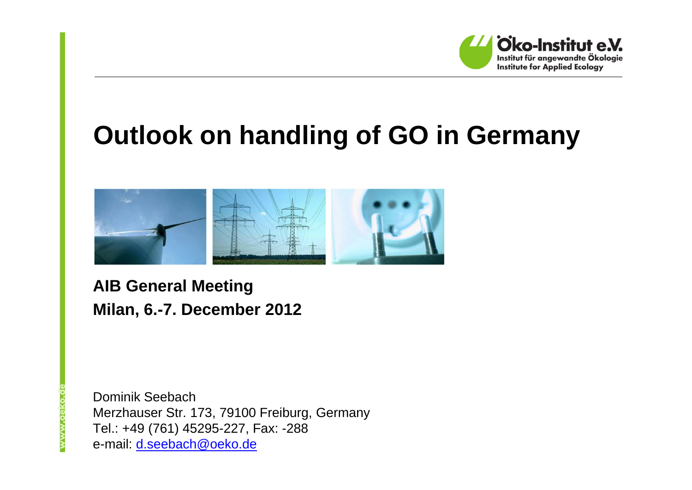

# **Outlook on handling of GO in Germany**



**AIB General Meeting Milan, 6.-7. December 2012**

www.oeko.o

Dominik SeebachMerzhauser Str. 173, 79100 Freiburg, Germany Tel.: +49 (761) 45295-227, Fax: -288 e-mail: d.seebach@oeko.de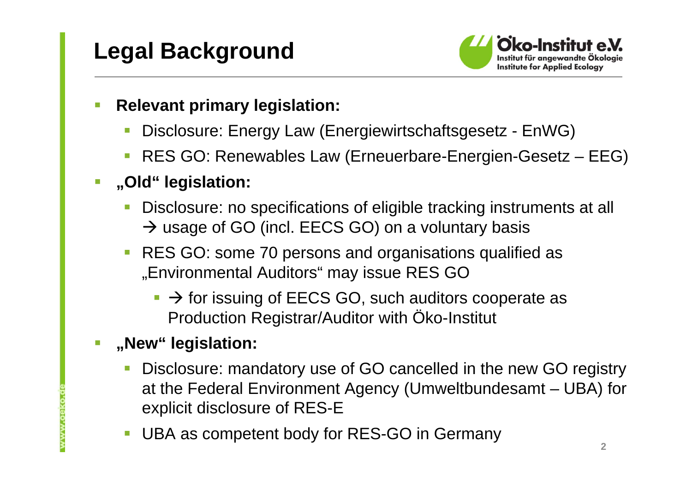

- $\overline{\phantom{0}}$  **Relevant primary legislation:**
	- Disclosure: Energy Law (Energiewirtschaftsgesetz EnWG)
	- $\Box$ RES GO: Renewables Law (Erneuerbare-Energien-Gesetz – EEG)
- $\overline{\phantom{a}}$  **"Old" legislation:**
	- $\mathbb{R}^2$  Disclosure: no specifications of eligible tracking instruments at all  $\rightarrow$  usage of GO (incl. EECS GO) on a voluntary basis
	- **RES GO: some 70 persons and organisations qualified as** "Environmental Auditors" may issue RES GO
		- $\rightarrow$  for issuing of EECS GO, such auditors cooperate as Production Registrar/Auditor with Öko-Institut

#### $\overline{\phantom{a}}$ **"New" legislation:**

- $\overline{\phantom{a}}$  Disclosure: mandatory use of GO cancelled in the new GO registry at the Federal Environment Agency (Umweltbundesamt – UBA) for explicit disclosure of RES-E
- $\mathbb{R}^3$ UBA as competent body for RES-GO in Germany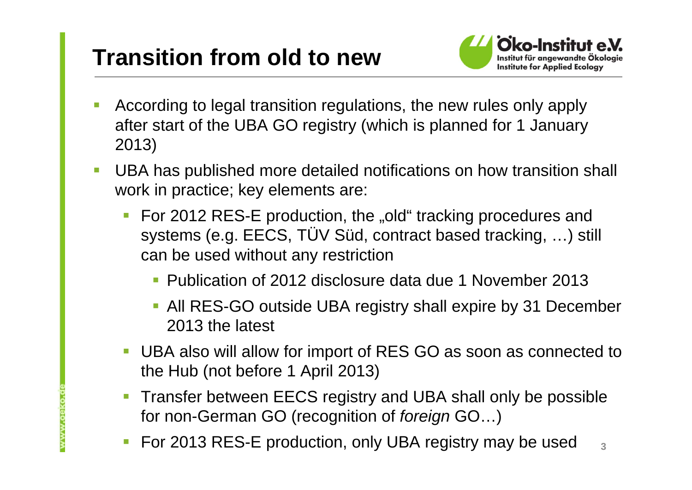### **Transition from old to new**

**WWW.oeko.** 



- According to legal transition regulations, the new rules only apply after start of the UBA GO registry (which is planned for 1 January 2013)
- $\overline{\mathbb{R}^n}$  UBA has published more detailed notifications on how transition shall work in practice; key elements are:
	- For 2012 RES-E production, the "old" tracking procedures and systems (e.g. EECS, TÜV Süd, contract based tracking, …) still can be used without any restriction
		- Publication of 2012 disclosure data due 1 November 2013
		- All RES-GO outside UBA registry shall expire by 31 December 2013 the latest
	- UBA also will allow for import of RES GO as soon as connected to the Hub (not before 1 April 2013)
	- $\mathcal{L}_{\mathcal{A}}$  Transfer between EECS registry and UBA shall only be possible for non-German GO (recognition of *foreign* GO…)
	- П For 2013 RES-E production, only UBA registry may be used **3**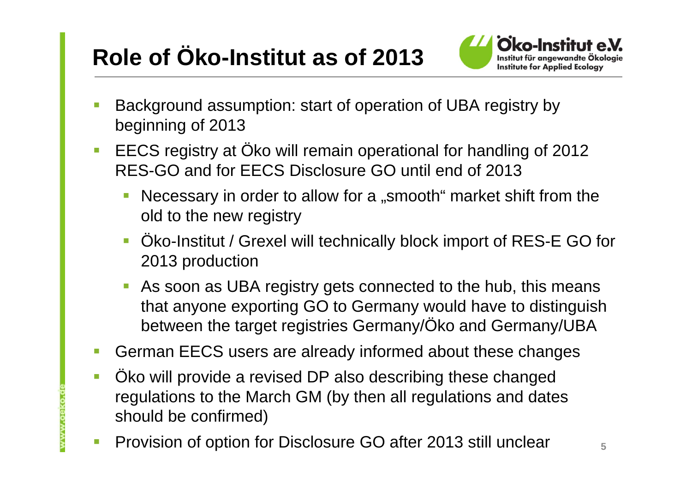# **Role of Öko-Institut as of 2013**



- Background assumption: start of operation of UBA registry by beginning of 2013
- $\mathcal{L}_{\mathcal{A}}$  EECS registry at Öko will remain operational for handling of <sup>2012</sup> RES-GO and for EECS Disclosure GO until end of 2013
	- Necessary in order to allow for a "smooth" market shift from the old to the new registry
	- Öko-Institut / Grexel will technically block import of RES-E GO for 2013 production
	- $\mathcal{L}_{\mathcal{A}}$  As soon as UBA registry gets connected to the hub, this means that anyone exporting GO to Germany would have to distinguish between the target registries Germany/Öko and Germany/UBA
- $\mathbb{R}^n$ German EECS users are already informed about these changes
- $\overline{\mathbb{R}}$  Öko will provide a revised DP also describing these changed regulations to the March GM (by then all regulations and dates should be confirmed)
- $\mathbb{R}^3$ Provision of option for Disclosure GO after 2013 still unclear

www.oeko.c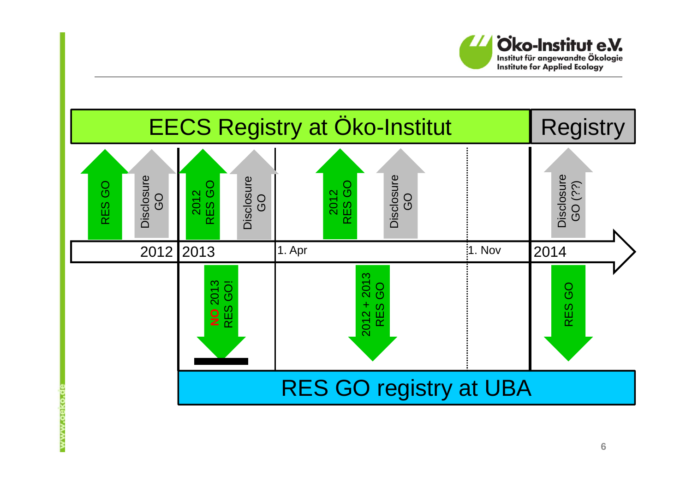